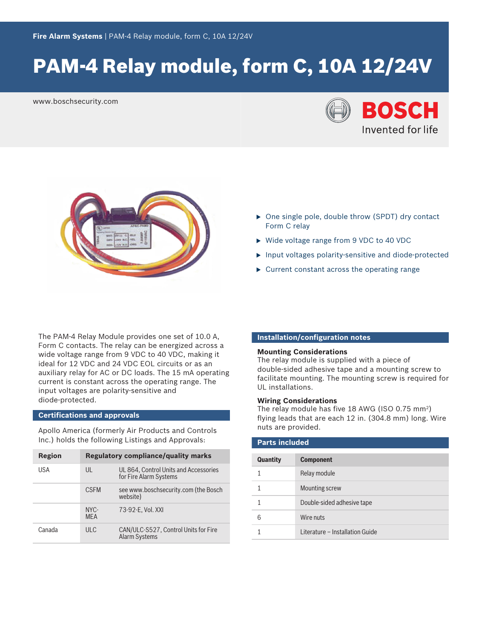# PAM-4 Relay module, form C, 10A 12/24V

www.boschsecurity.com





- $\triangleright$  One single pole, double throw (SPDT) dry contact Form C relay
- ▶ Wide voltage range from 9 VDC to 40 VDC
- $\blacktriangleright$  Input voltages polarity-sensitive and diode-protected
- $\triangleright$  Current constant across the operating range

The PAM‑4 Relay Module provides one set of 10.0 A, Form C contacts. The relay can be energized across a wide voltage range from 9 VDC to 40 VDC, making it ideal for 12 VDC and 24 VDC EOL circuits or as an auxiliary relay for AC or DC loads. The 15 mA operating current is constant across the operating range. The input voltages are polarity‑sensitive and diode‑protected.

# **Certifications and approvals**

Apollo America (formerly Air Products and Controls Inc.) holds the following Listings and Approvals:

| Region | Regulatory compliance/quality marks |                                                                 |
|--------|-------------------------------------|-----------------------------------------------------------------|
| USA    | $\mathsf{U}$                        | UL 864, Control Units and Accessories<br>for Fire Alarm Systems |
|        | <b>CSEM</b>                         | see www.boschsecurity.com (the Bosch<br>website)                |
|        | $NYC-$<br><b>MFA</b>                | 73-92-E. Vol. XXI                                               |
| Canada | ULC                                 | CAN/ULC-S527, Control Units for Fire<br><b>Alarm Systems</b>    |

# **Installation/configuration notes**

#### **Mounting Considerations**

The relay module is supplied with a piece of double‑sided adhesive tape and a mounting screw to facilitate mounting. The mounting screw is required for UL installations.

#### **Wiring Considerations**

The relay module has five 18 AWG (ISO 0.75 mm<sup>2</sup>) flying leads that are each 12 in. (304.8 mm) long. Wire nuts are provided.

| <b>Parts included</b> |                                 |  |
|-----------------------|---------------------------------|--|
| Quantity              | <b>Component</b>                |  |
| 1                     | Relay module                    |  |
|                       | <b>Mounting screw</b>           |  |
|                       | Double-sided adhesive tape      |  |
| 6                     | Wire nuts                       |  |
|                       | Literature - Installation Guide |  |
|                       |                                 |  |